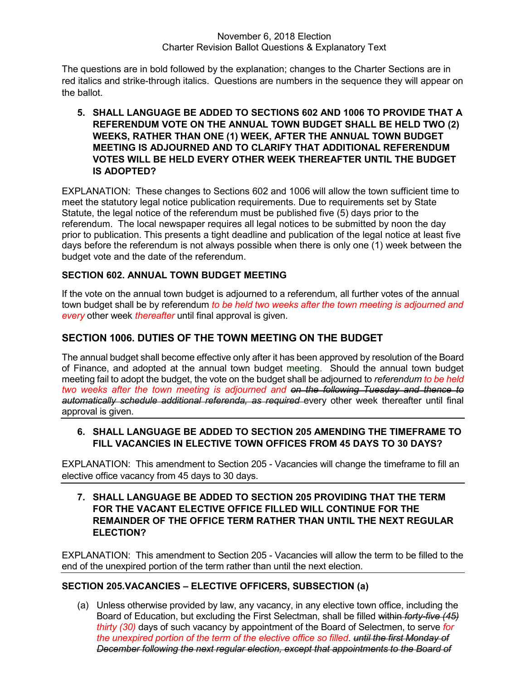#### November 6, 2018 Election Charter Revision Ballot Questions & Explanatory Text

The questions are in bold followed by the explanation; changes to the Charter Sections are in red italics and strike-through italics. Questions are numbers in the sequence they will appear on the ballot.

# 5. SHALL LANGUAGE BE ADDED TO SECTIONS 602 AND 1006 TO PROVIDE THAT A REFERENDUM VOTE ON THE ANNUAL TOWN BUDGET SHALL BE HELD TWO (2) WEEKS, RATHER THAN ONE (1) WEEK, AFTER THE ANNUAL TOWN BUDGET MEETING IS ADJOURNED AND TO CLARIFY THAT ADDITIONAL REFERENDUM VOTES WILL BE HELD EVERY OTHER WEEK THEREAFTER UNTIL THE BUDGET IS ADOPTED?

EXPLANATION: These changes to Sections 602 and 1006 will allow the town sufficient time to meet the statutory legal notice publication requirements. Due to requirements set by State Statute, the legal notice of the referendum must be published five (5) days prior to the referendum. The local newspaper requires all legal notices to be submitted by noon the day prior to publication. This presents a tight deadline and publication of the legal notice at least five days before the referendum is not always possible when there is only one (1) week between the budget vote and the date of the referendum.

# SECTION 602. ANNUAL TOWN BUDGET MEETING

If the vote on the annual town budget is adjourned to a referendum, all further votes of the annual town budget shall be by referendum to be held two weeks after the town meeting is adjourned and every other week thereafter until final approval is given.

# SECTION 1006. DUTIES OF THE TOWN MEETING ON THE BUDGET

The annual budget shall become effective only after it has been approved by resolution of the Board of Finance, and adopted at the annual town budget meeting. Should the annual town budget meeting fail to adopt the budget, the vote on the budget shall be adjourned to referendum to be held two weeks after the town meeting is adjourned and on the following Tuesday and thence to automatically schedule additional referenda, as required every other week thereafter until final approval is given.

## 6. SHALL LANGUAGE BE ADDED TO SECTION 205 AMENDING THE TIMEFRAME TO FILL VACANCIES IN ELECTIVE TOWN OFFICES FROM 45 DAYS TO 30 DAYS?

EXPLANATION: This amendment to Section 205 - Vacancies will change the timeframe to fill an elective office vacancy from 45 days to 30 days.

### 7. SHALL LANGUAGE BE ADDED TO SECTION 205 PROVIDING THAT THE TERM FOR THE VACANT ELECTIVE OFFICE FILLED WILL CONTINUE FOR THE REMAINDER OF THE OFFICE TERM RATHER THAN UNTIL THE NEXT REGULAR **FI FCTION?**

EXPLANATION: This amendment to Section 205 - Vacancies will allow the term to be filled to the end of the unexpired portion of the term rather than until the next election.

# SECTION 205.VACANCIES – ELECTIVE OFFICERS, SUBSECTION (a)

(a) Unless otherwise provided by law, any vacancy, in any elective town office, including the Board of Education, but excluding the First Selectman, shall be filled within *forty-five (45)* thirty (30) days of such vacancy by appointment of the Board of Selectmen, to serve for the unexpired portion of the term of the elective office so filled. until the first Monday of December following the next regular election, except that appointments to the Board of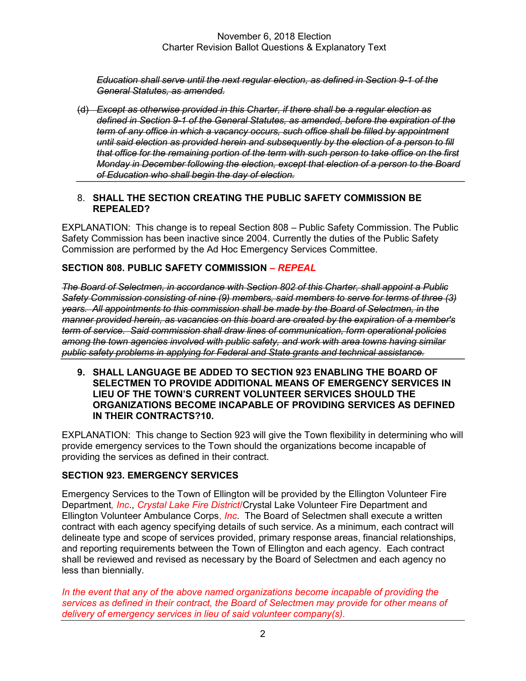#### November 6, 2018 Election Charter Revision Ballot Questions & Explanatory Text

Education shall serve until the next regular election, as defined in Section 9-1 of the General Statutes, as amended.

(d) Except as otherwise provided in this Charter, if there shall be a regular election as defined in Section 9-1 of the General Statutes, as amended, before the expiration of the term of any office in which a vacancy occurs, such office shall be filled by appointment until said election as provided herein and subsequently by the election of a person to fill that office for the remaining portion of the term with such person to take office on the first Monday in December following the election, except that election of a person to the Board of Education who shall begin the day of election.

### 8. SHALL THE SECTION CREATING THE PUBLIC SAFETY COMMISSION BE REPEALED?

EXPLANATION: This change is to repeal Section 808 – Public Safety Commission. The Public Safety Commission has been inactive since 2004. Currently the duties of the Public Safety Commission are performed by the Ad Hoc Emergency Services Committee.

## SECTION 808. PUBLIC SAFETY COMMISSION – REPEAL

The Board of Selectmen, in accordance with Section 802 of this Charter, shall appoint a Public Safety Commission consisting of nine (9) members, said members to serve for terms of three (3) years. All appointments to this commission shall be made by the Board of Selectmen, in the manner provided herein, as vacancies on this board are created by the expiration of a member's term of service. Said commission shall draw lines of communication, form operational policies among the town agencies involved with public safety, and work with area towns having similar public safety problems in applying for Federal and State grants and technical assistance.

9. SHALL LANGUAGE BE ADDED TO SECTION 923 ENABLING THE BOARD OF SELECTMEN TO PROVIDE ADDITIONAL MEANS OF EMERGENCY SERVICES IN LIEU OF THE TOWN'S CURRENT VOLUNTEER SERVICES SHOULD THE ORGANIZATIONS BECOME INCAPABLE OF PROVIDING SERVICES AS DEFINED IN THEIR CONTRACTS?10.

EXPLANATION: This change to Section 923 will give the Town flexibility in determining who will provide emergency services to the Town should the organizations become incapable of providing the services as defined in their contract.

### SECTION 923. EMERGENCY SERVICES

Emergency Services to the Town of Ellington will be provided by the Ellington Volunteer Fire Department, *Inc., Crystal Lake Fire District/Crystal Lake Volunteer Fire Department and* Ellington Volunteer Ambulance Corps, *Inc.* The Board of Selectmen shall execute a written contract with each agency specifying details of such service. As a minimum, each contract will delineate type and scope of services provided, primary response areas, financial relationships, and reporting requirements between the Town of Ellington and each agency. Each contract shall be reviewed and revised as necessary by the Board of Selectmen and each agency no less than biennially.

In the event that any of the above named organizations become incapable of providing the services as defined in their contract, the Board of Selectmen may provide for other means of delivery of emergency services in lieu of said volunteer company(s).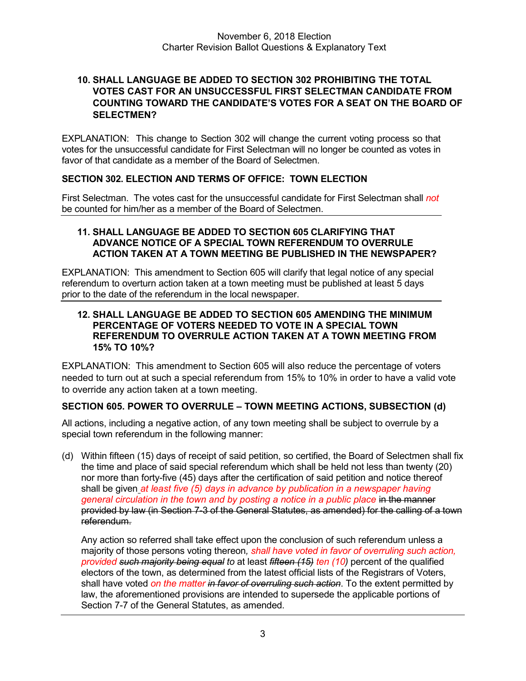## 10. SHALL LANGUAGE BE ADDED TO SECTION 302 PROHIBITING THE TOTAL VOTES CAST FOR AN UNSUCCESSFUL FIRST SELECTMAN CANDIDATE FROM COUNTING TOWARD THE CANDIDATE'S VOTES FOR A SEAT ON THE BOARD OF SELECTMEN?

EXPLANATION: This change to Section 302 will change the current voting process so that votes for the unsuccessful candidate for First Selectman will no longer be counted as votes in favor of that candidate as a member of the Board of Selectmen.

# SECTION 302. ELECTION AND TERMS OF OFFICE: TOWN ELECTION

First Selectman. The votes cast for the unsuccessful candidate for First Selectman shall not be counted for him/her as a member of the Board of Selectmen.

### 11. SHALL LANGUAGE BE ADDED TO SECTION 605 CLARIFYING THAT ADVANCE NOTICE OF A SPECIAL TOWN REFERENDUM TO OVERRULE ACTION TAKEN AT A TOWN MEETING BE PUBLISHED IN THE NEWSPAPER?

EXPLANATION: This amendment to Section 605 will clarify that legal notice of any special referendum to overturn action taken at a town meeting must be published at least 5 days prior to the date of the referendum in the local newspaper.

### 12. SHALL LANGUAGE BE ADDED TO SECTION 605 AMENDING THE MINIMUM PERCENTAGE OF VOTERS NEEDED TO VOTE IN A SPECIAL TOWN REFERENDUM TO OVERRULE ACTION TAKEN AT A TOWN MEETING FROM 15% TO 10%?

EXPLANATION: This amendment to Section 605 will also reduce the percentage of voters needed to turn out at such a special referendum from 15% to 10% in order to have a valid vote to override any action taken at a town meeting.

# SECTION 605. POWER TO OVERRULE – TOWN MEETING ACTIONS, SUBSECTION (d)

All actions, including a negative action, of any town meeting shall be subject to overrule by a special town referendum in the following manner:

(d) Within fifteen (15) days of receipt of said petition, so certified, the Board of Selectmen shall fix the time and place of said special referendum which shall be held not less than twenty (20) nor more than forty-five (45) days after the certification of said petition and notice thereof shall be given at least five (5) days in advance by publication in a newspaper having general circulation in the town and by posting a notice in a public place in the manner provided by law (in Section 7-3 of the General Statutes, as amended) for the calling of a town referendum.

 Any action so referred shall take effect upon the conclusion of such referendum unless a majority of those persons voting thereon, shall have voted in favor of overruling such action, provided such majority being equal to at least fifteen (15) ten (10) percent of the qualified electors of the town, as determined from the latest official lists of the Registrars of Voters, shall have voted on the matter in favor of overruling such action. To the extent permitted by law, the aforementioned provisions are intended to supersede the applicable portions of Section 7-7 of the General Statutes, as amended.